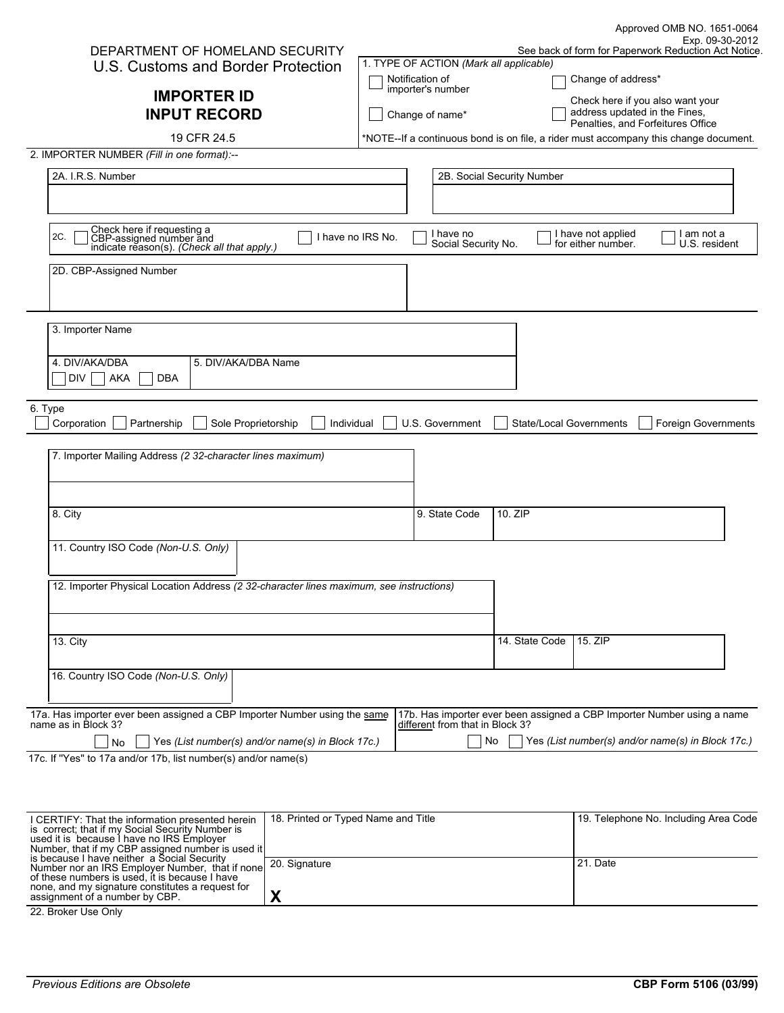|                                                                                                             |                                         |                                  |                                |                                          | Approved OMB NO. 1651-0064                                                           |
|-------------------------------------------------------------------------------------------------------------|-----------------------------------------|----------------------------------|--------------------------------|------------------------------------------|--------------------------------------------------------------------------------------|
| DEPARTMENT OF HOMELAND SECURITY                                                                             |                                         |                                  |                                |                                          | Exp. 09-30-2012<br>See back of form for Paperwork Reduction Act Notice.              |
| U.S. Customs and Border Protection                                                                          | 1. TYPE OF ACTION (Mark all applicable) |                                  |                                |                                          |                                                                                      |
|                                                                                                             | Notification of                         |                                  |                                | Change of address*                       |                                                                                      |
| <b>IMPORTER ID</b>                                                                                          | importer's number                       |                                  |                                | Check here if you also want your         |                                                                                      |
| <b>INPUT RECORD</b>                                                                                         | Change of name*                         |                                  |                                | address updated in the Fines,            |                                                                                      |
|                                                                                                             |                                         |                                  |                                | Penalties, and Forfeitures Office        |                                                                                      |
| 19 CFR 24.5                                                                                                 |                                         |                                  |                                |                                          | *NOTE--If a continuous bond is on file, a rider must accompany this change document. |
| 2. IMPORTER NUMBER (Fill in one format):--                                                                  |                                         |                                  |                                |                                          |                                                                                      |
| 2A. I.R.S. Number                                                                                           |                                         |                                  | 2B. Social Security Number     |                                          |                                                                                      |
|                                                                                                             |                                         |                                  |                                |                                          |                                                                                      |
|                                                                                                             |                                         |                                  |                                |                                          |                                                                                      |
| Check here if requesting a<br>CBP-assigned number and<br>indicate reason(s). (Check all that apply.)<br>2C. | I have no IRS No.                       | I have no<br>Social Security No. |                                | I have not applied<br>for either number. | I am not a<br>U.S. resident                                                          |
| 2D. CBP-Assigned Number                                                                                     |                                         |                                  |                                |                                          |                                                                                      |
|                                                                                                             |                                         |                                  |                                |                                          |                                                                                      |
|                                                                                                             |                                         |                                  |                                |                                          |                                                                                      |
|                                                                                                             |                                         |                                  |                                |                                          |                                                                                      |
| 3. Importer Name                                                                                            |                                         |                                  |                                |                                          |                                                                                      |
|                                                                                                             |                                         |                                  |                                |                                          |                                                                                      |
| 4. DIV/AKA/DBA<br>5. DIV/AKA/DBA Name                                                                       |                                         |                                  |                                |                                          |                                                                                      |
| DIV<br><b>AKA</b><br><b>DBA</b>                                                                             |                                         |                                  |                                |                                          |                                                                                      |
| 6. Type                                                                                                     |                                         |                                  |                                |                                          |                                                                                      |
| Corporation<br>Partnership<br>Sole Proprietorship<br>Individual                                             |                                         | U.S. Government                  | <b>State/Local Governments</b> |                                          | <b>Foreign Governments</b>                                                           |
|                                                                                                             |                                         |                                  |                                |                                          |                                                                                      |
| 7. Importer Mailing Address (2 32-character lines maximum)                                                  |                                         |                                  |                                |                                          |                                                                                      |
|                                                                                                             |                                         |                                  |                                |                                          |                                                                                      |
|                                                                                                             |                                         |                                  |                                |                                          |                                                                                      |
|                                                                                                             |                                         |                                  |                                |                                          |                                                                                      |
| 8. City                                                                                                     |                                         | 9. State Code                    | 10. ZIP                        |                                          |                                                                                      |
|                                                                                                             |                                         |                                  |                                |                                          |                                                                                      |
| 11. Country ISO Code (Non-U.S. Only)                                                                        |                                         |                                  |                                |                                          |                                                                                      |
|                                                                                                             |                                         |                                  |                                |                                          |                                                                                      |
| 12. Importer Physical Location Address (2 32-character lines maximum, see instructions)                     |                                         |                                  |                                |                                          |                                                                                      |
|                                                                                                             |                                         |                                  |                                |                                          |                                                                                      |
|                                                                                                             |                                         |                                  |                                |                                          |                                                                                      |
| <b>13. City</b>                                                                                             |                                         |                                  | 14. State Code                 | 15. ZIP                                  |                                                                                      |
|                                                                                                             |                                         |                                  |                                |                                          |                                                                                      |
| 16. Country ISO Code (Non-U.S. Only)                                                                        |                                         |                                  |                                |                                          |                                                                                      |
|                                                                                                             |                                         |                                  |                                |                                          |                                                                                      |
| 17a. Has importer ever been assigned a CBP Importer Number using the same                                   |                                         |                                  |                                |                                          | 17b. Has importer ever been assigned a CBP Importer Number using a name              |
| name as in Block 3?                                                                                         |                                         | different from that in Block 3?  |                                |                                          |                                                                                      |
| Yes (List number(s) and/or name(s) in Block 17c.)<br>No                                                     |                                         | No.                              |                                |                                          | Yes (List number(s) and/or name(s) in Block 17c.)                                    |

17c. If ''Yes'' to 17a and/or 17b, list number(s) and/or name(s)

| I CERTIFY: That the information presented herein  | 18. Printed or Typed Name and Title | 19. Telephone No. Including Area Code |
|---------------------------------------------------|-------------------------------------|---------------------------------------|
| is correct: that if my Social Security Number is  |                                     |                                       |
| used it is because I have no IRS Employer         |                                     |                                       |
| Number, that if my CBP assigned number is used it |                                     |                                       |
| is because I have neither a Social Security       | 20. Signature                       | 21. Date                              |
| Number nor an IRS Employer Number, that if none   |                                     |                                       |
| of these numbers is used, it is because I have    |                                     |                                       |
| none, and my signature constitutes a request for  |                                     |                                       |
| assignment of a number by CBP.                    |                                     |                                       |
|                                                   |                                     |                                       |

22. Broker Use Only